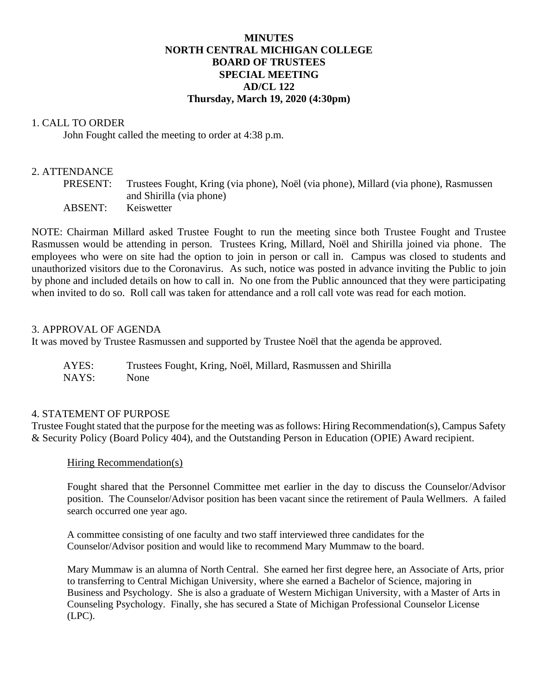## **MINUTES NORTH CENTRAL MICHIGAN COLLEGE BOARD OF TRUSTEES SPECIAL MEETING AD/CL 122 Thursday, March 19, 2020 (4:30pm)**

#### 1. CALL TO ORDER

John Fought called the meeting to order at 4:38 p.m.

# 2. ATTENDANCE

PRESENT: Trustees Fought, Kring (via phone), Noël (via phone), Millard (via phone), Rasmussen and Shirilla (via phone) ABSENT: Keiswetter

NOTE: Chairman Millard asked Trustee Fought to run the meeting since both Trustee Fought and Trustee Rasmussen would be attending in person. Trustees Kring, Millard, Noël and Shirilla joined via phone. The employees who were on site had the option to join in person or call in. Campus was closed to students and unauthorized visitors due to the Coronavirus. As such, notice was posted in advance inviting the Public to join by phone and included details on how to call in. No one from the Public announced that they were participating when invited to do so. Roll call was taken for attendance and a roll call vote was read for each motion.

### 3. APPROVAL OF AGENDA

It was moved by Trustee Rasmussen and supported by Trustee Noël that the agenda be approved.

| AYES: | Trustees Fought, Kring, Noël, Millard, Rasmussen and Shirilla |
|-------|---------------------------------------------------------------|
| NAYS: | None                                                          |

### 4. STATEMENT OF PURPOSE

Trustee Fought stated that the purpose for the meeting was as follows: Hiring Recommendation(s), Campus Safety & Security Policy (Board Policy 404), and the Outstanding Person in Education (OPIE) Award recipient.

#### Hiring Recommendation(s)

Fought shared that the Personnel Committee met earlier in the day to discuss the Counselor/Advisor position. The Counselor/Advisor position has been vacant since the retirement of Paula Wellmers. A failed search occurred one year ago.

A committee consisting of one faculty and two staff interviewed three candidates for the Counselor/Advisor position and would like to recommend Mary Mummaw to the board.

Mary Mummaw is an alumna of North Central. She earned her first degree here, an Associate of Arts, prior to transferring to Central Michigan University, where she earned a Bachelor of Science, majoring in Business and Psychology. She is also a graduate of Western Michigan University, with a Master of Arts in Counseling Psychology. Finally, she has secured a State of Michigan Professional Counselor License (LPC).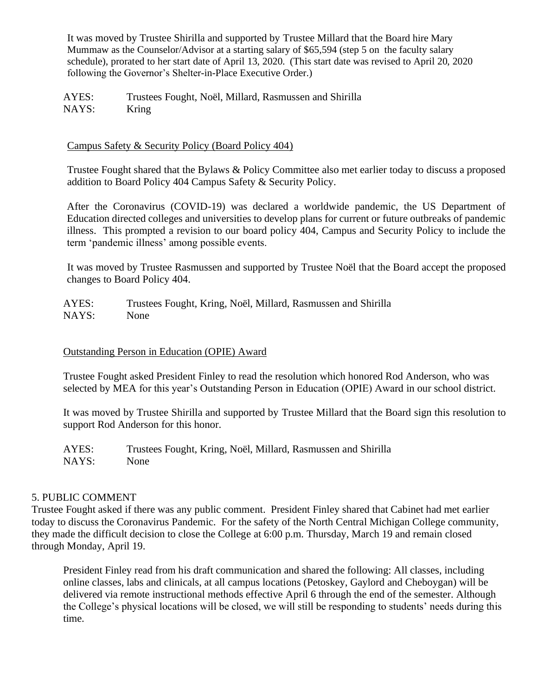It was moved by Trustee Shirilla and supported by Trustee Millard that the Board hire Mary Mummaw as the Counselor/Advisor at a starting salary of \$65,594 (step 5 on the faculty salary schedule), prorated to her start date of April 13, 2020. (This start date was revised to April 20, 2020 following the Governor's Shelter-in-Place Executive Order.)

AYES: Trustees Fought, Noël, Millard, Rasmussen and Shirilla NAYS: Kring

# Campus Safety & Security Policy (Board Policy 404)

Trustee Fought shared that the Bylaws & Policy Committee also met earlier today to discuss a proposed addition to Board Policy 404 Campus Safety & Security Policy.

After the Coronavirus (COVID-19) was declared a worldwide pandemic, the US Department of Education directed colleges and universities to develop plans for current or future outbreaks of pandemic illness. This prompted a revision to our board policy 404, Campus and Security Policy to include the term 'pandemic illness' among possible events.

It was moved by Trustee Rasmussen and supported by Trustee Noël that the Board accept the proposed changes to Board Policy 404.

AYES: Trustees Fought, Kring, Noël, Millard, Rasmussen and Shirilla NAYS: None

### Outstanding Person in Education (OPIE) Award

Trustee Fought asked President Finley to read the resolution which honored Rod Anderson, who was selected by MEA for this year's Outstanding Person in Education (OPIE) Award in our school district.

It was moved by Trustee Shirilla and supported by Trustee Millard that the Board sign this resolution to support Rod Anderson for this honor.

AYES: Trustees Fought, Kring, Noël, Millard, Rasmussen and Shirilla NAYS: None

### 5. PUBLIC COMMENT

Trustee Fought asked if there was any public comment. President Finley shared that Cabinet had met earlier today to discuss the Coronavirus Pandemic. For the safety of the North Central Michigan College community, they made the difficult decision to close the College at 6:00 p.m. Thursday, March 19 and remain closed through Monday, April 19.

President Finley read from his draft communication and shared the following: All classes, including online classes, labs and clinicals, at all campus locations (Petoskey, Gaylord and Cheboygan) will be delivered via remote instructional methods effective April 6 through the end of the semester. Although the College's physical locations will be closed, we will still be responding to students' needs during this time.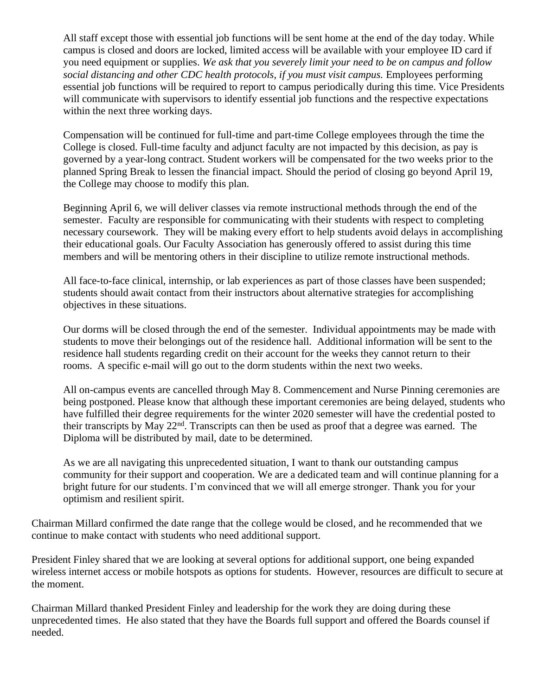All staff except those with essential job functions will be sent home at the end of the day today. While campus is closed and doors are locked, limited access will be available with your employee ID card if you need equipment or supplies. *We ask that you severely limit your need to be on campus and follow social distancing and other CDC health protocols, if you must visit campus.* Employees performing essential job functions will be required to report to campus periodically during this time. Vice Presidents will communicate with supervisors to identify essential job functions and the respective expectations within the next three working days.

Compensation will be continued for full-time and part-time College employees through the time the College is closed. Full-time faculty and adjunct faculty are not impacted by this decision, as pay is governed by a year-long contract. Student workers will be compensated for the two weeks prior to the planned Spring Break to lessen the financial impact. Should the period of closing go beyond April 19, the College may choose to modify this plan.

Beginning April 6, we will deliver classes via remote instructional methods through the end of the semester. Faculty are responsible for communicating with their students with respect to completing necessary coursework. They will be making every effort to help students avoid delays in accomplishing their educational goals. Our Faculty Association has generously offered to assist during this time members and will be mentoring others in their discipline to utilize remote instructional methods.

All face-to-face clinical, internship, or lab experiences as part of those classes have been suspended; students should await contact from their instructors about alternative strategies for accomplishing objectives in these situations.

Our dorms will be closed through the end of the semester. Individual appointments may be made with students to move their belongings out of the residence hall. Additional information will be sent to the residence hall students regarding credit on their account for the weeks they cannot return to their rooms. A specific e-mail will go out to the dorm students within the next two weeks.

All on-campus events are cancelled through May 8. Commencement and Nurse Pinning ceremonies are being postponed. Please know that although these important ceremonies are being delayed, students who have fulfilled their degree requirements for the winter 2020 semester will have the credential posted to their transcripts by May 22nd. Transcripts can then be used as proof that a degree was earned. The Diploma will be distributed by mail, date to be determined.

As we are all navigating this unprecedented situation, I want to thank our outstanding campus community for their support and cooperation. We are a dedicated team and will continue planning for a bright future for our students. I'm convinced that we will all emerge stronger. Thank you for your optimism and resilient spirit.

Chairman Millard confirmed the date range that the college would be closed, and he recommended that we continue to make contact with students who need additional support.

President Finley shared that we are looking at several options for additional support, one being expanded wireless internet access or mobile hotspots as options for students. However, resources are difficult to secure at the moment.

Chairman Millard thanked President Finley and leadership for the work they are doing during these unprecedented times. He also stated that they have the Boards full support and offered the Boards counsel if needed.